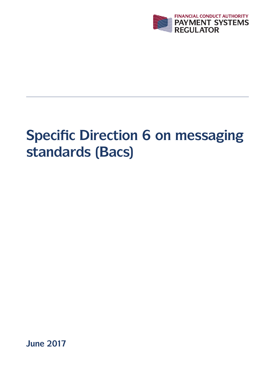

# **Specific Direction 6 on messaging standards (Bacs)**

**June 2017**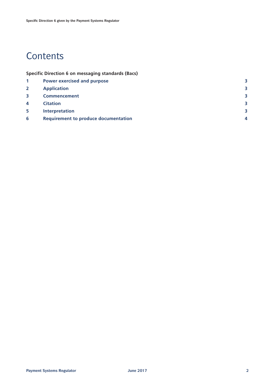# **Contents**

|  |  | <b>Specific Direction 6 on messaging standards (Bacs)</b> |  |
|--|--|-----------------------------------------------------------|--|
|  |  |                                                           |  |

|                         | <b>Power exercised and purpose</b>          |   |
|-------------------------|---------------------------------------------|---|
| $\overline{2}$          | <b>Application</b>                          | 3 |
| $\overline{\mathbf{3}}$ | <b>Commencement</b>                         | 3 |
| $\overline{\bf{4}}$     | <b>Citation</b>                             | 3 |
| 5                       | <b>Interpretation</b>                       | 3 |
| 6                       | <b>Requirement to produce documentation</b> |   |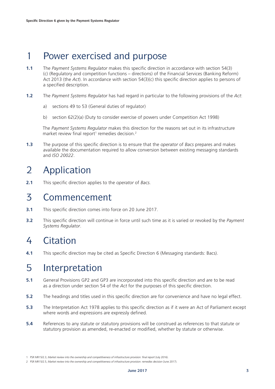# 1 Power exercised and purpose

- **1.1** The *Payment Systems Regulator* makes this specific direction in accordance with section 54(3) (c) (Regulatory and competition functions – directions) of the Financial Services (Banking Reform) Act 2013 (the *Act*). In accordance with section 54(3)(c) this specific direction applies to persons of a specified description.
- **1.2** The *Payment Systems Regulator* has had regard in particular to the following provisions of the *Act*:
	- a) sections 49 to 53 (General duties of regulator)
	- b) section 62(2)(a) (Duty to consider exercise of powers under Competition Act 1998)

 The *Payment Systems Regulator* makes this direction for the reasons set out in its infrastructure market review final report<sup>1</sup> remedies decision.<sup>2</sup>

**1.3** The purpose of this specific direction is to ensure that the *operator* of *Bacs* prepares and makes available the documentation required to allow conversion between existing messaging standards and *ISO 20022*.

# 2 Application

**2.1** This specific direction applies to the *operator* of *Bacs.*

#### 3 Commencement

- **3.1** This specific direction comes into force on 20 June 2017.
- **3.2** This specific direction will continue in force until such time as it is varied or revoked by the *Payment Systems Regulator*.

# 4 Citation

**4.1** This specific direction may be cited as Specific Direction 6 (Messaging standards: Bacs).

# 5 Interpretation

- **5.1** General Provisions GP2 and GP3 are incorporated into this specific direction and are to be read as a direction under section 54 of the *Act* for the purposes of this specific direction.
- **5.2** The headings and titles used in this specific direction are for convenience and have no legal effect.
- **5.3** The Interpretation Act 1978 applies to this specific direction as if it were an Act of Parliament except where words and expressions are expressly defined.
- **5.4** References to any statute or statutory provisions will be construed as references to that statute or statutory provision as amended, re-enacted or modified, whether by statute or otherwise.

<sup>1</sup> PSR MR15/2.3, *Market review into the ownership and competitiveness of infrastructure provision: final report* (July 2016).

<sup>2</sup> PSR MR15/2.5, *Market review into the ownership and competitiveness of infrastructure provision: remedies decision* (June 2017).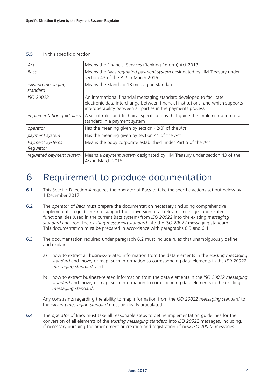#### **5.5** In this specific direction:

| Act                            | Means the Financial Services (Banking Reform) Act 2013                                                                                                                                                                  |
|--------------------------------|-------------------------------------------------------------------------------------------------------------------------------------------------------------------------------------------------------------------------|
| <b>Bacs</b>                    | Means the Bacs regulated payment system designated by HM Treasury under<br>section 43 of the Act in March 2015                                                                                                          |
| existing messaging<br>standard | Means the Standard 18 messaging standard                                                                                                                                                                                |
| <b>ISO 20022</b>               | An international financial messaging standard developed to facilitate<br>electronic data interchange between financial institutions, and which supports<br>interoperability between all parties in the payments process |
| implementation quidelines      | A set of rules and technical specifications that guide the implementation of a<br>standard in a payment system                                                                                                          |
| operator                       | Has the meaning given by section $42(3)$ of the Act                                                                                                                                                                     |
| payment system                 | Has the meaning given by section 41 of the Act                                                                                                                                                                          |
| Payment Systems<br>Regulator   | Means the body corporate established under Part 5 of the Act                                                                                                                                                            |
| regulated payment system       | Means a payment system designated by HM Treasury under section 43 of the<br>Act in March 2015                                                                                                                           |

### 6 Requirement to produce documentation

- **6.1** This Specific Direction 4 requires the operator of Bacs to take the specific actions set out below by 1 December 2017.
- **6.2** The *operator* of *Bacs* must prepare the documentation necessary (including comprehensive implementation guidelines) to support the conversion of all relevant messages and related functionalities (used in the current Bacs system) from *ISO 20022* into the existing *messaging standard* and from the *existing messaging standard* into the *ISO 20022* messaging standard. This documentation must be prepared in accordance with paragraphs 6.3 and 6.4.
- **6.3** The documentation required under paragraph 6.2 must include rules that unambiguously define and explain:
	- a) how to extract all business-related information from the data elements in the *existing messaging standard* and move, or map, such information to corresponding data elements in the *ISO 20022 messaging standard*, and
	- b) how to extract business-related information from the data elements in the *ISO 20022 messaging standard* and move, or map, such information to corresponding data elements in the existing *messaging standard*.

 Any constraints regarding the ability to map information from the *ISO 20022 messaging standard* to the *existing messaging standard* must be clearly articulated.

**6.4** The *operator* of Bacs must take all reasonable steps to define implementation guidelines for the conversion of all elements of the *existing messaging standard* into *ISO 20022* messages, including, if necessary pursuing the amendment or creation and registration of new *ISO 20022* messages.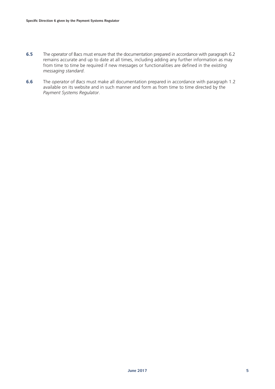- **6.5** The *operator* of Bacs must ensure that the documentation prepared in accordance with paragraph 6.2 remains accurate and up to date at all times, including adding any further information as may from time to time be required if new messages or functionalities are defined in the *existing messaging standard*.
- **6.6** The *operator* of *Bacs* must make all documentation prepared in accordance with paragraph 1.2 available on its website and in such manner and form as from time to time directed by the *Payment Systems Regulator*.